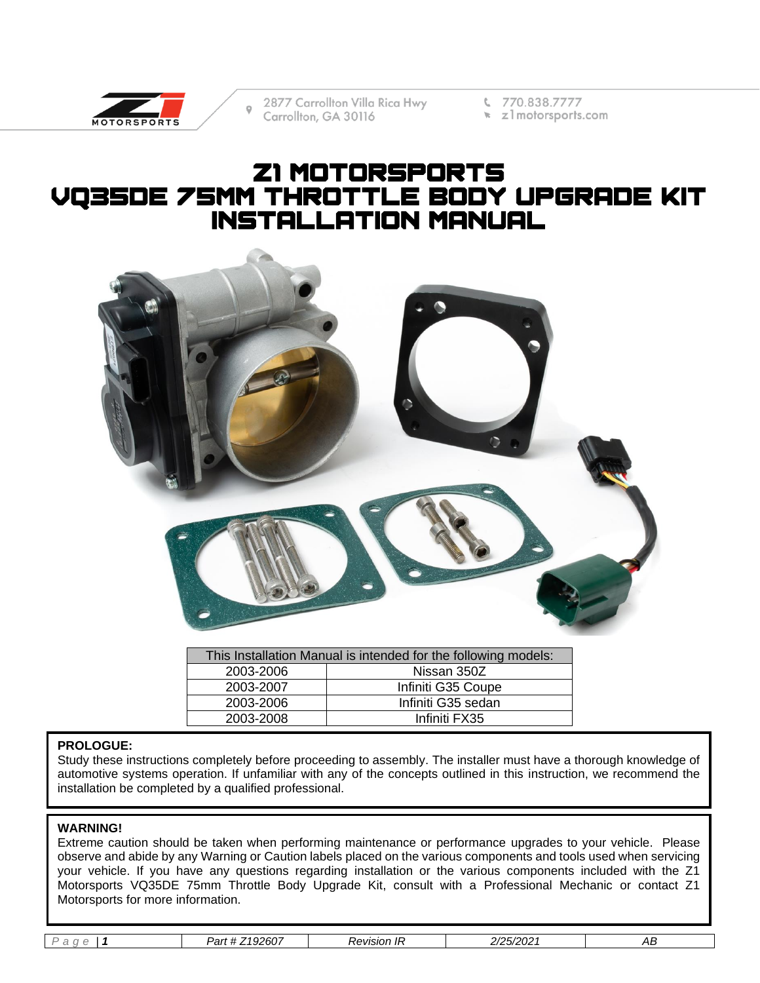

2877 Carrollton Villa Rica Hwy Carrollton, GA 30116

€ 770.838.7777

 $\star$  z 1 motorsports.com

# Z1 motorsports VQ35DE 75mm Throttle Body Upgrade Kit INSTALLATION MANUAL



| This Installation Manual is intended for the following models: |                    |  |
|----------------------------------------------------------------|--------------------|--|
| 2003-2006                                                      | Nissan 350Z        |  |
| 2003-2007                                                      | Infiniti G35 Coupe |  |
| 2003-2006                                                      | Infiniti G35 sedan |  |
| 2003-2008                                                      | Infiniti FX35      |  |

#### **PROLOGUE:**

Study these instructions completely before proceeding to assembly. The installer must have a thorough knowledge of automotive systems operation. If unfamiliar with any of the concepts outlined in this instruction, we recommend the installation be completed by a qualified professional.

#### **WARNING!**

Extreme caution should be taken when performing maintenance or performance upgrades to your vehicle. Please observe and abide by any Warning or Caution labels placed on the various components and tools used when servicing your vehicle. If you have any questions regarding installation or the various components included with the Z1 Motorsports VQ35DE 75mm Throttle Body Upgrade Kit, consult with a Professional Mechanic or contact Z1 Motorsports for more information.

|  | - | $\sim$ $\sim$ $\sim$<br>,,<br>レヘパ<br>20U.<br>σι<br>- JZ | Revision In | $\sim$ $-$<br>$\sim$ $\sim$<br>.UZ | AЬ |
|--|---|---------------------------------------------------------|-------------|------------------------------------|----|
|--|---|---------------------------------------------------------|-------------|------------------------------------|----|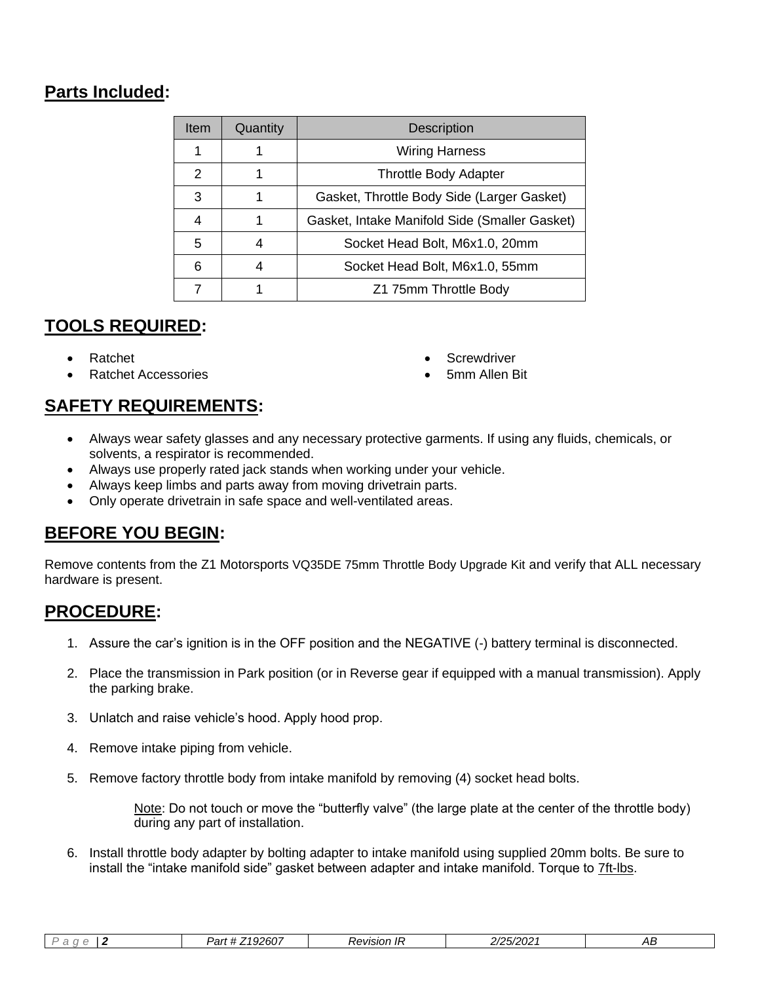## **Parts Included:**

| <b>Item</b> | Quantity | <b>Description</b>                            |
|-------------|----------|-----------------------------------------------|
|             |          | <b>Wiring Harness</b>                         |
| 2           |          | <b>Throttle Body Adapter</b>                  |
| 3           |          | Gasket, Throttle Body Side (Larger Gasket)    |
| 4           |          | Gasket, Intake Manifold Side (Smaller Gasket) |
| 5           |          | Socket Head Bolt, M6x1.0, 20mm                |
| 6           |          | Socket Head Bolt, M6x1.0, 55mm                |
|             |          | Z1 75mm Throttle Body                         |

## **TOOLS REQUIRED:**

- Ratchet
- Ratchet Accessories
- **Screwdriver**
- 5mm Allen Bit

## **SAFETY REQUIREMENTS:**

- Always wear safety glasses and any necessary protective garments. If using any fluids, chemicals, or solvents, a respirator is recommended.
- Always use properly rated jack stands when working under your vehicle.
- Always keep limbs and parts away from moving drivetrain parts.
- Only operate drivetrain in safe space and well-ventilated areas.

### **BEFORE YOU BEGIN:**

Remove contents from the Z1 Motorsports VQ35DE 75mm Throttle Body Upgrade Kit and verify that ALL necessary hardware is present.

## **PROCEDURE:**

- 1. Assure the car's ignition is in the OFF position and the NEGATIVE (-) battery terminal is disconnected.
- 2. Place the transmission in Park position (or in Reverse gear if equipped with a manual transmission). Apply the parking brake.
- 3. Unlatch and raise vehicle's hood. Apply hood prop.
- 4. Remove intake piping from vehicle.
- 5. Remove factory throttle body from intake manifold by removing (4) socket head bolts.

Note: Do not touch or move the "butterfly valve" (the large plate at the center of the throttle body) during any part of installation.

6. Install throttle body adapter by bolting adapter to intake manifold using supplied 20mm bolts. Be sure to install the "intake manifold side" gasket between adapter and intake manifold. Torque to 7ft-lbs.

|  |  | Z192607<br>レヘレ<br>au | evision IF<br>$\overline{\phantom{a}}$ | $-$ nnn $\cdot$<br>- ג<br>$120/202$ . | AВ |
|--|--|----------------------|----------------------------------------|---------------------------------------|----|
|--|--|----------------------|----------------------------------------|---------------------------------------|----|